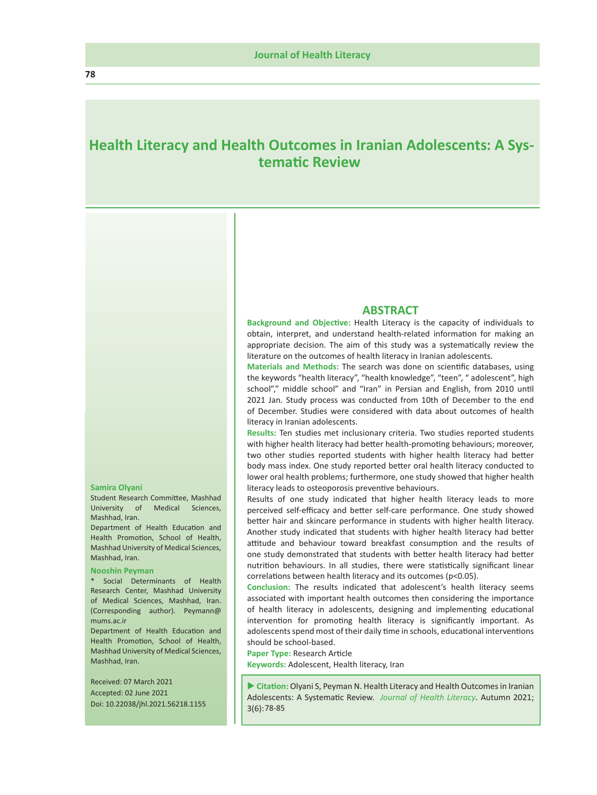# **Health Literacy and Health Outcomes in Iranian Adolescents: A Systematic Review**

#### **Samira Olyani**

Student Research Committee, Mashhad University of Medical Sciences, Mashhad, Iran.

Department of Health Education and Health Promotion, School of Health, Mashhad University of Medical Sciences, Mashhad, Iran.

#### **Nooshin Peyman**

\* Social Determinants of Health Research Center, Mashhad University of Medical Sciences, Mashhad, Iran. (Corresponding author). Peymann@ mums.ac.ir

Department of Health Education and Health Promotion, School of Health, Mashhad University of Medical Sciences, Mashhad, Iran.

 Received: 07 March 2021 Accepted: 02 June 2021 Doi: 10.22038/jhl.2021.56218.1155

#### **ABSTRACT**

**Background and Objective:** Health Literacy is the capacity of individuals to obtain, interpret, and understand health-related information for making an appropriate decision. The aim of this study was a systematically review the literature on the outcomes of health literacy in Iranian adolescents.

**Materials and Methods:** The search was done on scientific databases, using the keywords "health literacy", "health knowledge", "teen", " adolescent", high school"," middle school" and "Iran" in Persian and English, from 2010 until 2021 Jan. Study process was conducted from 10th of December to the end of December. Studies were considered with data about outcomes of health literacy in Iranian adolescents.

**Results:** Ten studies met inclusionary criteria. Two studies reported students with higher health literacy had better health-promoting behaviours; moreover, two other studies reported students with higher health literacy had better body mass index. One study reported better oral health literacy conducted to lower oral health problems; furthermore, one study showed that higher health literacy leads to osteoporosis preventive behaviours.

Results of one study indicated that higher health literacy leads to more perceived self-efficacy and better self-care performance. One study showed better hair and skincare performance in students with higher health literacy. Another study indicated that students with higher health literacy had better attitude and behaviour toward breakfast consumption and the results of one study demonstrated that students with better health literacy had better nutrition behaviours. In all studies, there were statistically significant linear correlations between health literacy and its outcomes (p<0.05).

**Conclusion:** The results indicated that adolescent's health literacy seems associated with important health outcomes then considering the importance of health literacy in adolescents, designing and implementing educational intervention for promoting health literacy is significantly important. As adolescents spend most of their daily time in schools, educational interventions should be school-based.

**Paper Type:** Research Article

**Keywords:** Adolescent, Health literacy, Iran

 **Citation:** Olyani S, Peyman N. Health Literacy and Health Outcomes in Iranian Adolescents: A Systematic Review. *Journal of Health Literacy*. Autumn 2021; 3(6):78-85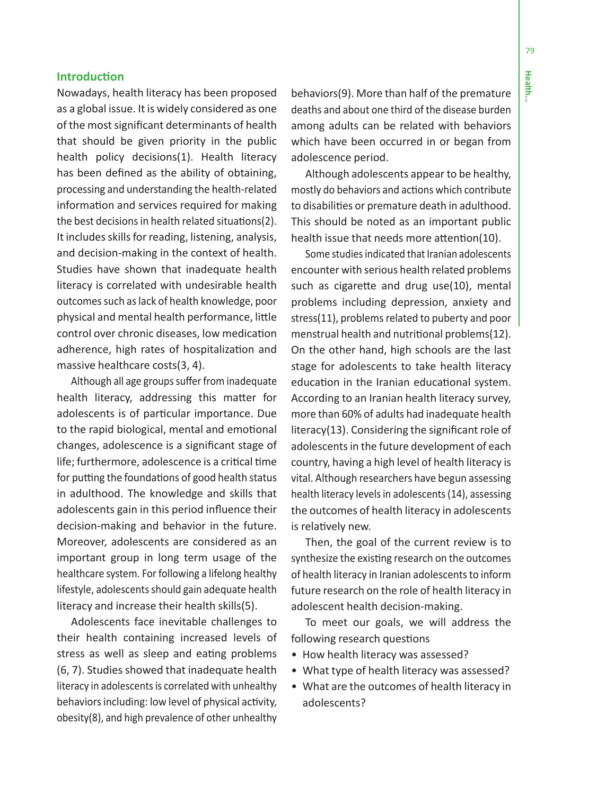## **Introduction**

Nowadays, health literacy has been proposed as a global issue. It is widely considered as one of the most significant determinants of health that should be given priority in the public health policy decisions(1). Health literacy has been defined as the ability of obtaining, processing and understanding the health-related information and services required for making the best decisions in health related situations(2). It includes skills for reading, listening, analysis, and decision-making in the context of health. Studies have shown that inadequate health literacy is correlated with undesirable health outcomes such as lack of health knowledge, poor physical and mental health performance, little control over chronic diseases, low medication adherence, high rates of hospitalization and massive healthcare costs(3, 4).

Although all age groups suffer from inadequate health literacy, addressing this matter for adolescents is of particular importance. Due to the rapid biological, mental and emotional changes, adolescence is a significant stage of life; furthermore, adolescence is a critical time for putting the foundations of good health status in adulthood. The knowledge and skills that adolescents gain in this period influence their decision-making and behavior in the future. Moreover, adolescents are considered as an important group in long term usage of the healthcare system. For following a lifelong healthy lifestyle, adolescents should gain adequate health literacy and increase their health skills(5).

Adolescents face inevitable challenges to their health containing increased levels of stress as well as sleep and eating problems (6, 7). Studies showed that inadequate health literacy in adolescents is correlated with unhealthy behaviors including: low level of physical activity, obesity(8), and high prevalence of other unhealthy

behaviors(9). More than half of the premature deaths and about one third of the disease burden among adults can be related with behaviors which have been occurred in or began from adolescence period.

Although adolescents appear to be healthy, mostly do behaviors and actions which contribute to disabilities or premature death in adulthood. This should be noted as an important public health issue that needs more attention(10).

Some studies indicated that Iranian adolescents encounter with serious health related problems such as cigarette and drug use(10), mental problems including depression, anxiety and stress(11), problems related to puberty and poor menstrual health and nutritional problems(12). On the other hand, high schools are the last stage for adolescents to take health literacy education in the Iranian educational system. According to an Iranian health literacy survey, more than 60% of adults had inadequate health literacy(13). Considering the significant role of adolescents in the future development of each country, having a high level of health literacy is vital. Although researchers have begun assessing health literacy levels in adolescents (14), assessing the outcomes of health literacy in adolescents is relatively new.

Then, the goal of the current review is to synthesize the existing research on the outcomes of health literacy in Iranian adolescents to inform future research on the role of health literacy in adolescent health decision-making.

To meet our goals, we will address the following research questions

- How health literacy was assessed?
- What type of health literacy was assessed?
- What are the outcomes of health literacy in adolescents?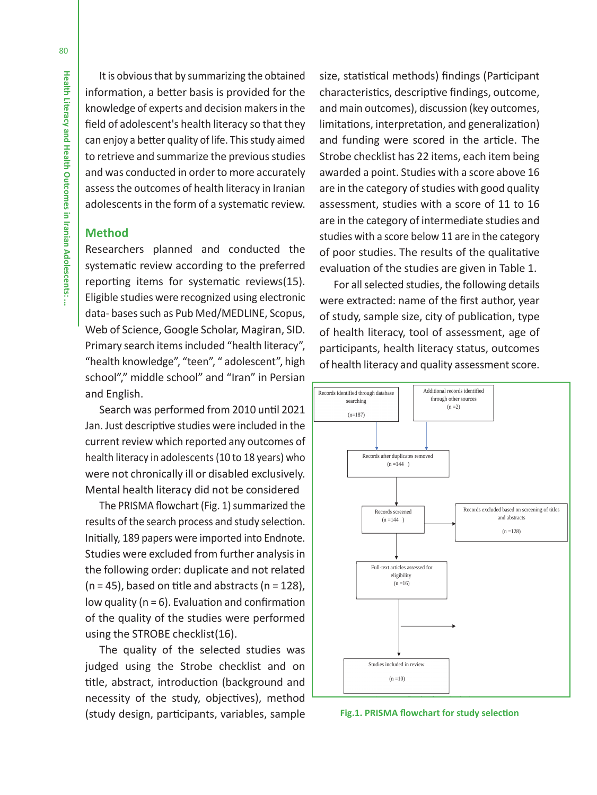It is obvious that by summarizing the obtained information, a better basis is provided for the knowledge of experts and decision makers in the field of adolescent's health literacy so that they can enjoy a better quality of life. This study aimed to retrieve and summarize the previous studies and was conducted in order to more accurately assess the outcomes of health literacy in Iranian adolescents in the form of a systematic review.

## **Method**

Researchers planned and conducted the systematic review according to the preferred reporting items for systematic reviews(15). Eligible studies were recognized using electronic data- bases such as Pub Med/MEDLINE, Scopus, Web of Science, Google Scholar, Magiran, SID. Primary search items included "health literacy", "health knowledge", "teen", " adolescent", high school"," middle school" and "Iran" in Persian and English.

Search was performed from 2010 until 2021 Jan. Just descriptive studies were included in the current review which reported any outcomes of health literacy in adolescents (10 to 18 years) who were not chronically ill or disabled exclusively. Mental health literacy did not be considered

The PRISMA flowchart (Fig. 1) summarized the results of the search process and study selection. Initially, 189 papers were imported into Endnote. Studies were excluded from further analysis in the following order: duplicate and not related  $(n = 45)$ , based on title and abstracts  $(n = 128)$ , low quality ( $n = 6$ ). Evaluation and confirmation of the quality of the studies were performed using the STROBE checklist(16).

The quality of the selected studies was judged using the Strobe checklist and on title, abstract, introduction (background and necessity of the study, objectives), method (study design, participants, variables, sample

size, statistical methods) findings (Participant characteristics, descriptive findings, outcome, and main outcomes), discussion (key outcomes, limitations, interpretation, and generalization) and funding were scored in the article. The Strobe checklist has 22 items, each item being awarded a point. Studies with a score above 16 are in the category of studies with good quality assessment, studies with a score of 11 to 16 are in the category of intermediate studies and studies with a score below 11 are in the category of poor studies. The results of the qualitative evaluation of the studies are given in Table 1.

For all selected studies, the following details were extracted: name of the first author, year of study, sample size, city of publication, type of health literacy, tool of assessment, age of participants, health literacy status, outcomes of health literacy and quality assessment score.



**Fig.1. PRISMA flowchart for study selection**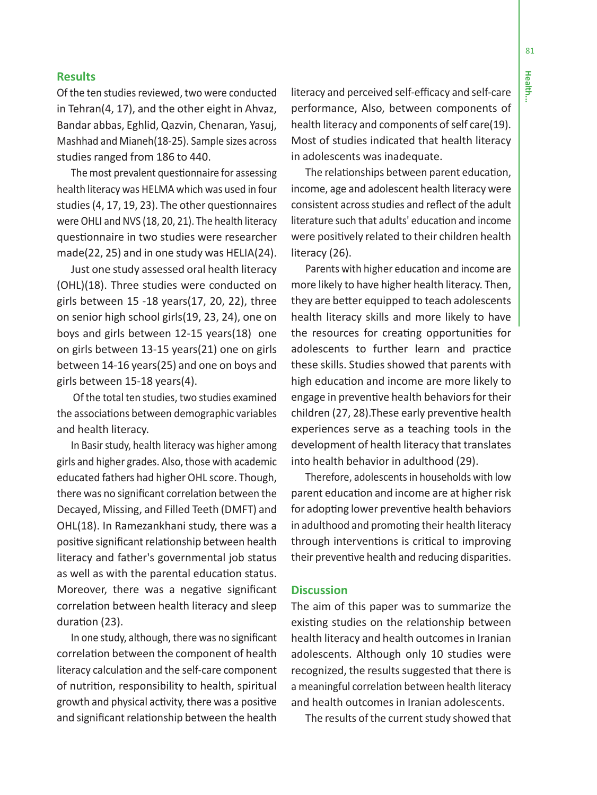# **Results**

Of the ten studies reviewed, two were conducted in Tehran(4, 17), and the other eight in Ahvaz, Bandar abbas, Eghlid, Qazvin, Chenaran, Yasuj, Mashhad and Mianeh(18-25). Sample sizes across studies ranged from 186 to 440.

The most prevalent questionnaire for assessing health literacy was HELMA which was used in four studies (4, 17, 19, 23). The other questionnaires were OHLI and NVS (18, 20, 21). The health literacy questionnaire in two studies were researcher made(22, 25) and in one study was HELIA(24).

Just one study assessed oral health literacy (OHL)(18). Three studies were conducted on girls between 15 -18 years(17, 20, 22), three on senior high school girls(19, 23, 24), one on boys and girls between 12-15 years(18) one on girls between 13-15 years(21) one on girls between 14-16 years(25) and one on boys and girls between 15-18 years(4).

 Of the total ten studies, two studies examined the associations between demographic variables and health literacy.

In Basir study, health literacy was higher among girls and higher grades. Also, those with academic educated fathers had higher OHL score. Though, there was no significant correlation between the Decayed, Missing, and Filled Teeth (DMFT) and OHL(18). In Ramezankhani study, there was a positive significant relationship between health literacy and father's governmental job status as well as with the parental education status. Moreover, there was a negative significant correlation between health literacy and sleep duration (23).

In one study, although, there was no significant correlation between the component of health literacy calculation and the self-care component of nutrition, responsibility to health, spiritual growth and physical activity, there was a positive and significant relationship between the health

literacy and perceived self-efficacy and self-care performance, Also, between components of health literacy and components of self care(19). Most of studies indicated that health literacy in adolescents was inadequate.

The relationships between parent education, income, age and adolescent health literacy were consistent across studies and reflect of the adult literature such that adults' education and income were positively related to their children health literacy (26).

Parents with higher education and income are more likely to have higher health literacy. Then, they are better equipped to teach adolescents health literacy skills and more likely to have the resources for creating opportunities for adolescents to further learn and practice these skills. Studies showed that parents with high education and income are more likely to engage in preventive health behaviors for their children (27, 28).These early preventive health experiences serve as a teaching tools in the development of health literacy that translates into health behavior in adulthood (29).

Therefore, adolescents in households with low parent education and income are at higher risk for adopting lower preventive health behaviors in adulthood and promoting their health literacy through interventions is critical to improving their preventive health and reducing disparities.

# **Discussion**

The aim of this paper was to summarize the existing studies on the relationship between health literacy and health outcomes in Iranian adolescents. Although only 10 studies were recognized, the results suggested that there is a meaningful correlation between health literacy and health outcomes in Iranian adolescents.

The results of the current study showed that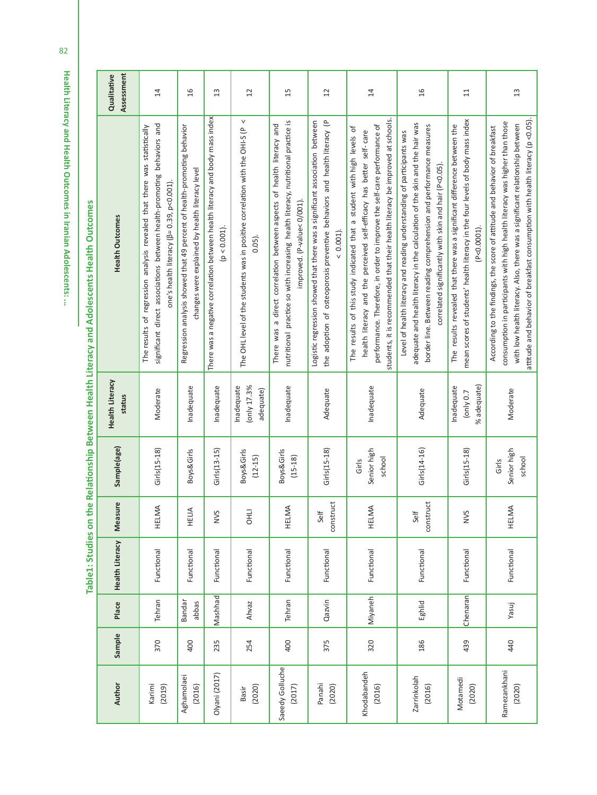**Health Literacy and Health Outcomes in Iranian Adolescents: ...** Health Literacy and Health Outcomes in Iranian Adolescents: ..

Author Sample Place Health Literacy Measure Sample(age) Health Literacy<br>Author Sample Place Health Literacy Measure Sample(age) status Assessment Qualitative 14  $\overline{6}$  $\overline{13}$ 12 15 12 14 16 11 13Functional HELIA Boys&Girls Inadequate Regression analysis showed that 49 percent of health-promoting behavior<br>Functional HELIA Boys&Girls Inadequate Regression changes were explained by health literacy level 16 Olyani (2017) 235 Mashhad Functional NVS Girls(13-15) Inadequate There was a negative correlation between health literacy and body mass index (p < 0.001). 13 There was a negative correlation between health literacy and body mass index the adoption of osteoporosis preventive behaviors and health literacy (P mean scores of students' health literacy in the four levels of body mass index mean scores of students' health literacy in the four levels of body mass index The OHL level of the students was in positive correlation with the OHI-S (P  $\lt$ nutritional practice so with increasing health literacy, nutritional practice is nutritional practice so with increasing health literacy, nutritional practice is Logistic regression showed that there was a significant association between Logistic regression showed that there was a significant association between the adoption of osteoporosis preventive behaviors and health literacy (P students, it is recommended that their health literacy be improved at schools. students, it is recommended that their health literacy be improved at schools. attitude and behavior of breakfast consumption with health literacy (p <0.05). attitude and behavior of breakfast consumption with health literacy (p <0.05). consumption in participants with high health literacy was higher than those consumption in participants with high health literacy was higher than those significant direct associations between health-promoting behaviors and There was a direct correlation between aspects of health literacy and adequate and health literacy in the calculation of the skin and the hair was with low health literacy. Also, there was a significant relationship between significant direct associations between health-promoting behaviors and There was a direct correlation between aspects of health literacy and performance. Therefore, in order to improve the self-care performance of border line. Between reading comprehension and performance measures border line. Between reading comprehension and performance measures The results revealed that there was a significant difference between the The results revealed that there was a significant difference between the with low health literacy. Also, there was a significant relationship between The results of regression analysis revealed that there was statistically The results of regression analysis revealed that there was statistically Regression analysis showed that 49 percent of health-promoting behavior performance. Therefore, in order to improve the self-care performance of adequate and health literacy in the calculation of the skin and the hair was According to the findings, the score of attitude and behavior of breakfast According to the findings, the score of attitude and behavior of breakfast The OHL level of the students was in positive correlation with the OHI-S (P The results of this study indicated that a student with high levels of The results of this study indicated that a student with high levels of health literacy and the perceived self-efficacy has better self-care health literacy and the perceived self-efficacy has better self- care Level of health literacy and reading understanding of participants was Level of health literacy and reading understanding of participants was correlated significantly with skin and hair (P<0.05). correlated significantly with skin and hair (P<0.05). changes were explained by health literacy level one's health literacy (β= 0.39, p<0.001). one's health literacy (β= 0.39, p<0.001). improved. (P-value< 0/001). improved. (P-value< 0/001). **Health Outcomes**  $(p < 0.001)$ . (P<0.0001).  $(P < 0.0001)$  $< 0.001$ ). 0.05). **Health Literacy** Inadequate (only 17.3% (only 17.3% nadequate Inadequate % adequate) % adequate) nadequate nadequate nadequate Inadequate adequate) (15-18) Inadequate Inadequate Inadequate Moderate Adequate Adequate (only 0.7 Moderate 370 Tehran Functional HELMA Girls(15-18) Moderate construct Girls(15-18) Adequate construct Girls(14-16) Adequate Moderate status Sample(age) Girls(15-18) **Boys&Girls** Girls(13-15) **Boys&Girls** 3oys&Girls Girls(15-18) Senior high Senior high  $Girls(14-16)$ Girls(15-18) Senior high Senior high 439 Chenaran Functional NVS Girls(15-18) 254 Ahvaz Functional OHLI Boys&Girls 400 Tehran Functional HELMA Boys&Girls  $(15 - 18)$ (12-15) Girls school Girls school Measure construct construct HELMA HELMA **HELMA** HELMA HELIA (2016) 320 Miyaneh Functional HELMA (2020) 440 Yasuj Functional HELMA **OHLI** NVS Self Self NVS **Health Literacy** Functional Functional Functional Functional Functional Functional Functional Functional Functional Functional (2020) 375 Qazvin Functional (2016) 186 Eghlid Functional **Miyaneh** Chenaran Mashhad Tehran Tehran Qazvin Eghlid Place abbas Ahvaz Bandar Yasuj Sample 440 400 320 186 370 400 235 254 375 439 Saeedy Golluche Saeedy Golluche Khodabandeh Ramezankhani Ramezankhani Olyani (2017) Khodabandeh Aghamolae Aghamolaei Zarrinkolah Motamedi Zarrinkolah Motamedi Author (2016) (2017)  $(2020)$  $(2016)$  $(2016)$  $(2020)$ (2019) (2020) Panahi (2020) Karimi Basir

Table1: Studies on the Relationship Between Health Literacy and Adolescents Health Outcomes **Table1: Studies on the Relationship Between Health Literacy and Adolescents Health Outcomes**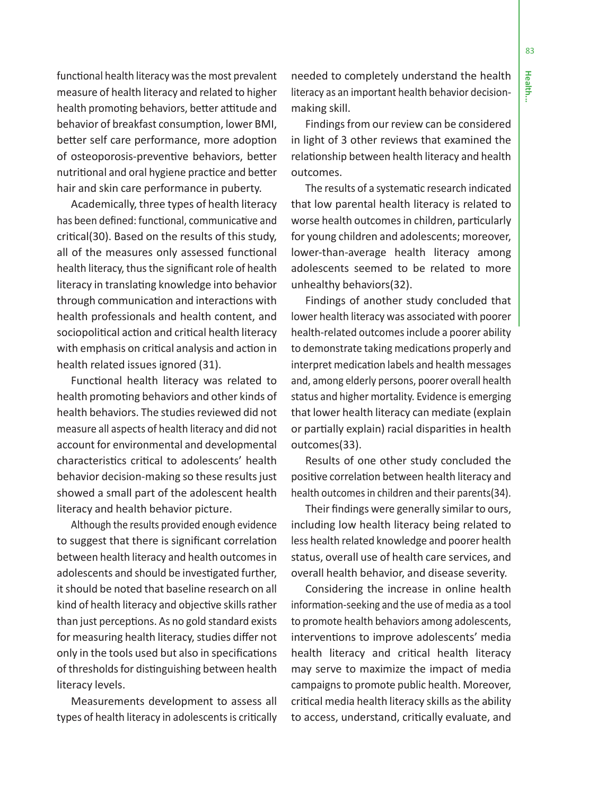functional health literacy was the most prevalent measure of health literacy and related to higher health promoting behaviors, better attitude and behavior of breakfast consumption, lower BMI, better self care performance, more adoption of osteoporosis-preventive behaviors, better nutritional and oral hygiene practice and better hair and skin care performance in puberty.

Academically, three types of health literacy has been defined: functional, communicative and critical(30). Based on the results of this study, all of the measures only assessed functional health literacy, thus the significant role of health literacy in translating knowledge into behavior through communication and interactions with health professionals and health content, and sociopolitical action and critical health literacy with emphasis on critical analysis and action in health related issues ignored (31).

Functional health literacy was related to health promoting behaviors and other kinds of health behaviors. The studies reviewed did not measure all aspects of health literacy and did not account for environmental and developmental characteristics critical to adolescents' health behavior decision-making so these results just showed a small part of the adolescent health literacy and health behavior picture.

Although the results provided enough evidence to suggest that there is significant correlation between health literacy and health outcomes in adolescents and should be investigated further, it should be noted that baseline research on all kind of health literacy and objective skills rather than just perceptions. As no gold standard exists for measuring health literacy, studies differ not only in the tools used but also in specifications of thresholds for distinguishing between health literacy levels.

Measurements development to assess all types of health literacy in adolescents is critically needed to completely understand the health literacy as an important health behavior decisionmaking skill.

Findings from our review can be considered in light of 3 other reviews that examined the relationship between health literacy and health outcomes.

The results of a systematic research indicated that low parental health literacy is related to worse health outcomes in children, particularly for young children and adolescents; moreover, lower-than-average health literacy among adolescents seemed to be related to more unhealthy behaviors(32).

Findings of another study concluded that lower health literacy was associated with poorer health-related outcomes include a poorer ability to demonstrate taking medications properly and interpret medication labels and health messages and, among elderly persons, poorer overall health status and higher mortality. Evidence is emerging that lower health literacy can mediate (explain or partially explain) racial disparities in health outcomes(33).

Results of one other study concluded the positive correlation between health literacy and health outcomes in children and their parents(34).

Their findings were generally similar to ours, including low health literacy being related to less health related knowledge and poorer health status, overall use of health care services, and overall health behavior, and disease severity.

Considering the increase in online health information-seeking and the use of media as a tool to promote health behaviors among adolescents, interventions to improve adolescents' media health literacy and critical health literacy may serve to maximize the impact of media campaigns to promote public health. Moreover, critical media health literacy skills as the ability to access, understand, critically evaluate, and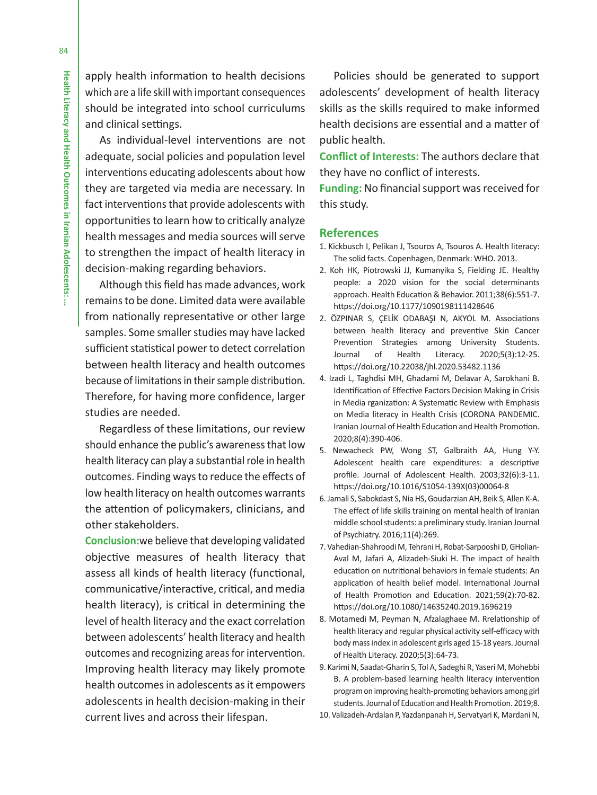apply health information to health decisions which are a life skill with important consequences should be integrated into school curriculums and clinical settings.

As individual-level interventions are not adequate, social policies and population level interventions educating adolescents about how they are targeted via media are necessary. In fact interventions that provide adolescents with opportunities to learn how to critically analyze health messages and media sources will serve to strengthen the impact of health literacy in decision-making regarding behaviors.

Although this field has made advances, work remains to be done. Limited data were available from nationally representative or other large samples. Some smaller studies may have lacked sufficient statistical power to detect correlation between health literacy and health outcomes because of limitations in their sample distribution. Therefore, for having more confidence, larger studies are needed.

Regardless of these limitations, our review should enhance the public's awareness that low health literacy can play a substantial role in health outcomes. Finding ways to reduce the effects of low health literacy on health outcomes warrants the attention of policymakers, clinicians, and other stakeholders.

**Conclusion:**we believe that developing validated objective measures of health literacy that assess all kinds of health literacy (functional, communicative/interactive, critical, and media health literacy), is critical in determining the level of health literacy and the exact correlation between adolescents' health literacy and health outcomes and recognizing areas for intervention. Improving health literacy may likely promote health outcomes in adolescents as it empowers adolescents in health decision-making in their current lives and across their lifespan.

Policies should be generated to support adolescents' development of health literacy skills as the skills required to make informed health decisions are essential and a matter of public health.

 **Conflict of Interests:** The authors declare that they have no conflict of interests.

**Funding:** No financial support was received for this study.

#### **References**

- 1. Kickbusch I, Pelikan J, Tsouros A, Tsouros A. Health literacy: The solid facts. Copenhagen, Denmark: WHO. 2013.
- 2. Koh HK, Piotrowski JJ, Kumanyika S, Fielding JE. Healthy people: a 2020 vision for the social determinants approach. Health Education & Behavior. 2011;38(6):551-7. https://doi.org/10.1177/1090198111428646
- 2. ÖZPINAR S, ÇELİK ODABAŞI N, AKYOL M. Associations between health literacy and preventive Skin Cancer Prevention Strategies among University Students. Journal of Health Literacy. 2020;5(3):12-25. https://doi.org/10.22038/jhl.2020.53482.1136
- 4. Izadi L, Taghdisi MH, Ghadami M, Delavar A, Sarokhani B. Identification of Effective Factors Decision Making in Crisis in Media rganization: A Systematic Review with Emphasis on Media literacy in Health Crisis (CORONA PANDEMIC. Iranian Journal of Health Education and Health Promotion. 2020;8(4):390-406.
- 5. Newacheck PW, Wong ST, Galbraith AA, Hung Y-Y. Adolescent health care expenditures: a descriptive profile. Journal of Adolescent Health. 2003;32(6):3-11. https://doi.org/10.1016/S1054-139X(03)00064-8
- 6. Jamali S, Sabokdast S, Nia HS, Goudarzian AH, Beik S, Allen K-A. The effect of life skills training on mental health of Iranian middle school students: a preliminary study. Iranian Journal of Psychiatry. 2016;11(4):269.
- 7. Vahedian-Shahroodi M, Tehrani H, Robat-Sarpooshi D, GHolian-Aval M, Jafari A, Alizadeh-Siuki H. The impact of health education on nutritional behaviors in female students: An application of health belief model. International Journal of Health Promotion and Education. 2021;59(2):70-82. https://doi.org/10.1080/14635240.2019.1696219
- 8. Motamedi M, Peyman N, Afzalaghaee M. Rrelationship of health literacy and regular physical activity self-efficacy with body mass index in adolescent girls aged 15-18 years. Journal of Health Literacy. 2020;5(3):64-73.
- 9. Karimi N, Saadat-Gharin S, Tol A, Sadeghi R, Yaseri M, Mohebbi B. A problem-based learning health literacy intervention program on improving health-promoting behaviors among girl students. Journal of Education and Health Promotion. 2019;8.
- 10. Valizadeh-Ardalan P, Yazdanpanah H, Servatyari K, Mardani N,